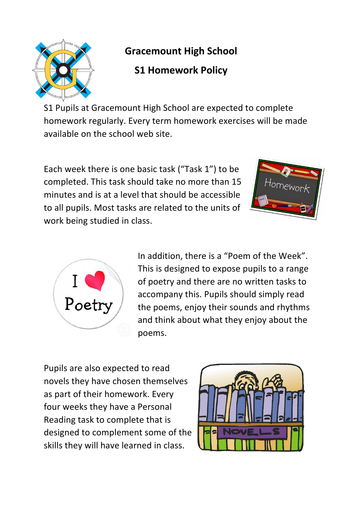

## **Gracemount High School**

## **S1 Homework Policy**

S1 Pupils at Gracemount High School are expected to complete homework regularly. Every term homework exercises will be made available on the school web site.

Each week there is one basic task ("Task 1") to be completed. This task should take no more than 15 minutes and is at a level that should be accessible to all pupils. Most tasks are related to the units of work being studied in class.





In addition, there is a "Poem of the Week". This is designed to expose pupils to a range of poetry and there are no written tasks to accompany this. Pupils should simply read the poems, enjoy their sounds and rhythms and think about what they enjoy about the poems.

Pupils are also expected to read novels they have chosen themselves as part of their homework. Every four weeks they have a Personal Reading task to complete that is designed to complement some of the skills they will have learned in class.